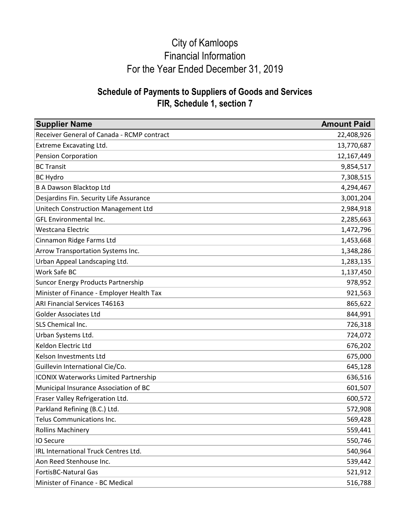| <b>Supplier Name</b>                         | <b>Amount Paid</b> |
|----------------------------------------------|--------------------|
| Receiver General of Canada - RCMP contract   | 22,408,926         |
| Extreme Excavating Ltd.                      | 13,770,687         |
| <b>Pension Corporation</b>                   | 12,167,449         |
| <b>BC Transit</b>                            | 9,854,517          |
| <b>BC Hydro</b>                              | 7,308,515          |
| <b>B A Dawson Blacktop Ltd</b>               | 4,294,467          |
| Desjardins Fin. Security Life Assurance      | 3,001,204          |
| Unitech Construction Management Ltd          | 2,984,918          |
| GFL Environmental Inc.                       | 2,285,663          |
| Westcana Electric                            | 1,472,796          |
| Cinnamon Ridge Farms Ltd                     | 1,453,668          |
| Arrow Transportation Systems Inc.            | 1,348,286          |
| Urban Appeal Landscaping Ltd.                | 1,283,135          |
| Work Safe BC                                 | 1,137,450          |
| <b>Suncor Energy Products Partnership</b>    | 978,952            |
| Minister of Finance - Employer Health Tax    | 921,563            |
| <b>ARI Financial Services T46163</b>         | 865,622            |
| <b>Golder Associates Ltd</b>                 | 844,991            |
| SLS Chemical Inc.                            | 726,318            |
| Urban Systems Ltd.                           | 724,072            |
| Keldon Electric Ltd                          | 676,202            |
| Kelson Investments Ltd                       | 675,000            |
| Guillevin International Cie/Co.              | 645,128            |
| <b>ICONIX Waterworks Limited Partnership</b> | 636,516            |
| Municipal Insurance Association of BC        | 601,507            |
| Fraser Valley Refrigeration Ltd.             | 600,572            |
| Parkland Refining (B.C.) Ltd.                | 572,908            |
| Telus Communications Inc.                    | 569,428            |
| <b>Rollins Machinery</b>                     | 559,441            |
| IO Secure                                    | 550,746            |
| IRL International Truck Centres Ltd.         | 540,964            |
| Aon Reed Stenhouse Inc.                      | 539,442            |
| <b>FortisBC-Natural Gas</b>                  | 521,912            |
| Minister of Finance - BC Medical             | 516,788            |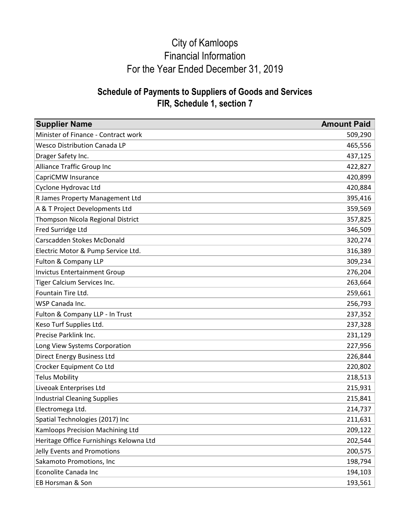| <b>Supplier Name</b>                    | <b>Amount Paid</b> |
|-----------------------------------------|--------------------|
| Minister of Finance - Contract work     | 509,290            |
| <b>Wesco Distribution Canada LP</b>     | 465,556            |
| Drager Safety Inc.                      | 437,125            |
| Alliance Traffic Group Inc              | 422,827            |
| CapriCMW Insurance                      | 420,899            |
| Cyclone Hydrovac Ltd                    | 420,884            |
| R James Property Management Ltd         | 395,416            |
| A & T Project Developments Ltd          | 359,569            |
| Thompson Nicola Regional District       | 357,825            |
| Fred Surridge Ltd                       | 346,509            |
| Carscadden Stokes McDonald              | 320,274            |
| Electric Motor & Pump Service Ltd.      | 316,389            |
| Fulton & Company LLP                    | 309,234            |
| <b>Invictus Entertainment Group</b>     | 276,204            |
| Tiger Calcium Services Inc.             | 263,664            |
| Fountain Tire Ltd.                      | 259,661            |
| WSP Canada Inc.                         | 256,793            |
| Fulton & Company LLP - In Trust         | 237,352            |
| Keso Turf Supplies Ltd.                 | 237,328            |
| Precise Parklink Inc.                   | 231,129            |
| Long View Systems Corporation           | 227,956            |
| <b>Direct Energy Business Ltd</b>       | 226,844            |
| Crocker Equipment Co Ltd                | 220,802            |
| <b>Telus Mobility</b>                   | 218,513            |
| Liveoak Enterprises Ltd                 | 215,931            |
| <b>Industrial Cleaning Supplies</b>     | 215,841            |
| Electromega Ltd.                        | 214,737            |
| Spatial Technologies (2017) Inc         | 211,631            |
| Kamloops Precision Machining Ltd        | 209,122            |
| Heritage Office Furnishings Kelowna Ltd | 202,544            |
| Jelly Events and Promotions             | 200,575            |
| Sakamoto Promotions, Inc                | 198,794            |
| Econolite Canada Inc                    | 194,103            |
| EB Horsman & Son                        | 193,561            |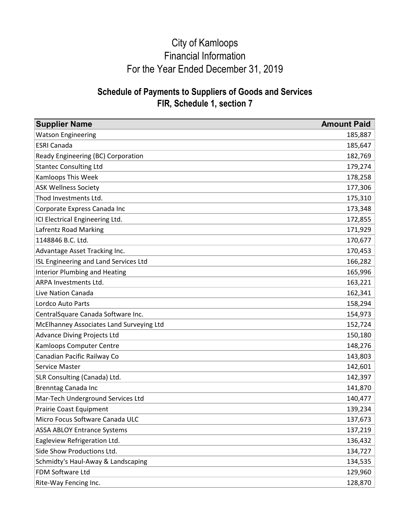| <b>Supplier Name</b>                     | <b>Amount Paid</b> |
|------------------------------------------|--------------------|
| <b>Watson Engineering</b>                | 185,887            |
| <b>ESRI Canada</b>                       | 185,647            |
| Ready Engineering (BC) Corporation       | 182,769            |
| <b>Stantec Consulting Ltd</b>            | 179,274            |
| <b>Kamloops This Week</b>                | 178,258            |
| <b>ASK Wellness Society</b>              | 177,306            |
| Thod Investments Ltd.                    | 175,310            |
| Corporate Express Canada Inc             | 173,348            |
| ICI Electrical Engineering Ltd.          | 172,855            |
| Lafrentz Road Marking                    | 171,929            |
| 1148846 B.C. Ltd.                        | 170,677            |
| Advantage Asset Tracking Inc.            | 170,453            |
| ISL Engineering and Land Services Ltd    | 166,282            |
| <b>Interior Plumbing and Heating</b>     | 165,996            |
| ARPA Investments Ltd.                    | 163,221            |
| <b>Live Nation Canada</b>                | 162,341            |
| Lordco Auto Parts                        | 158,294            |
| CentralSquare Canada Software Inc.       | 154,973            |
| McElhanney Associates Land Surveying Ltd | 152,724            |
| <b>Advance Diving Projects Ltd</b>       | 150,180            |
| Kamloops Computer Centre                 | 148,276            |
| Canadian Pacific Railway Co              | 143,803            |
| Service Master                           | 142,601            |
| SLR Consulting (Canada) Ltd.             | 142,397            |
| Brenntag Canada Inc                      | 141,870            |
| Mar-Tech Underground Services Ltd        | 140,477            |
| Prairie Coast Equipment                  | 139,234            |
| Micro Focus Software Canada ULC          | 137,673            |
| <b>ASSA ABLOY Entrance Systems</b>       | 137,219            |
| Eagleview Refrigeration Ltd.             | 136,432            |
| Side Show Productions Ltd.               | 134,727            |
| Schmidty's Haul-Away & Landscaping       | 134,535            |
| FDM Software Ltd                         | 129,960            |
| Rite-Way Fencing Inc.                    | 128,870            |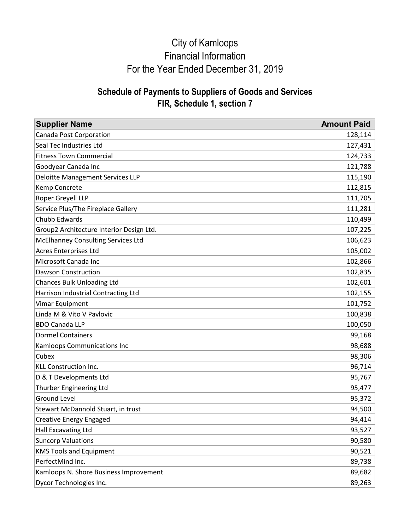| <b>Supplier Name</b>                      | <b>Amount Paid</b> |
|-------------------------------------------|--------------------|
| Canada Post Corporation                   | 128,114            |
| Seal Tec Industries Ltd                   | 127,431            |
| <b>Fitness Town Commercial</b>            | 124,733            |
| Goodyear Canada Inc                       | 121,788            |
| Deloitte Management Services LLP          | 115,190            |
| Kemp Concrete                             | 112,815            |
| Roper Greyell LLP                         | 111,705            |
| Service Plus/The Fireplace Gallery        | 111,281            |
| Chubb Edwards                             | 110,499            |
| Group2 Architecture Interior Design Ltd.  | 107,225            |
| <b>McElhanney Consulting Services Ltd</b> | 106,623            |
| Acres Enterprises Ltd                     | 105,002            |
| Microsoft Canada Inc                      | 102,866            |
| <b>Dawson Construction</b>                | 102,835            |
| <b>Chances Bulk Unloading Ltd</b>         | 102,601            |
| Harrison Industrial Contracting Ltd       | 102,155            |
| Vimar Equipment                           | 101,752            |
| Linda M & Vito V Pavlovic                 | 100,838            |
| <b>BDO Canada LLP</b>                     | 100,050            |
| <b>Dormel Containers</b>                  | 99,168             |
| Kamloops Communications Inc               | 98,688             |
| Cubex                                     | 98,306             |
| KLL Construction Inc.                     | 96,714             |
| D & T Developments Ltd                    | 95,767             |
| Thurber Engineering Ltd                   | 95,477             |
| <b>Ground Level</b>                       | 95,372             |
| Stewart McDannold Stuart, in trust        | 94,500             |
| Creative Energy Engaged                   | 94,414             |
| Hall Excavating Ltd                       | 93,527             |
| <b>Suncorp Valuations</b>                 | 90,580             |
| <b>KMS Tools and Equipment</b>            | 90,521             |
| PerfectMind Inc.                          | 89,738             |
| Kamloops N. Shore Business Improvement    | 89,682             |
| Dycor Technologies Inc.                   | 89,263             |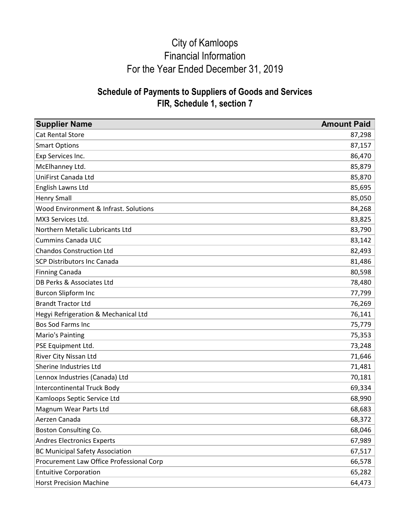| <b>Supplier Name</b>                     | <b>Amount Paid</b> |
|------------------------------------------|--------------------|
| <b>Cat Rental Store</b>                  | 87,298             |
| <b>Smart Options</b>                     | 87,157             |
| Exp Services Inc.                        | 86,470             |
| McElhanney Ltd.                          | 85,879             |
| UniFirst Canada Ltd                      | 85,870             |
| English Lawns Ltd                        | 85,695             |
| <b>Henry Small</b>                       | 85,050             |
| Wood Environment & Infrast. Solutions    | 84,268             |
| MX3 Services Ltd.                        | 83,825             |
| Northern Metalic Lubricants Ltd          | 83,790             |
| <b>Cummins Canada ULC</b>                | 83,142             |
| <b>Chandos Construction Ltd</b>          | 82,493             |
| <b>SCP Distributors Inc Canada</b>       | 81,486             |
| <b>Finning Canada</b>                    | 80,598             |
| DB Perks & Associates Ltd                | 78,480             |
| <b>Burcon Slipform Inc</b>               | 77,799             |
| <b>Brandt Tractor Ltd</b>                | 76,269             |
| Hegyi Refrigeration & Mechanical Ltd     | 76,141             |
| Bos Sod Farms Inc                        | 75,779             |
| Mario's Painting                         | 75,353             |
| PSE Equipment Ltd.                       | 73,248             |
| River City Nissan Ltd                    | 71,646             |
| Sherine Industries Ltd                   | 71,481             |
| Lennox Industries (Canada) Ltd           | 70,181             |
| <b>Intercontinental Truck Body</b>       | 69,334             |
| Kamloops Septic Service Ltd              | 68,990             |
| Magnum Wear Parts Ltd                    | 68,683             |
| Aerzen Canada                            | 68,372             |
| Boston Consulting Co.                    | 68,046             |
| <b>Andres Electronics Experts</b>        | 67,989             |
| <b>BC Municipal Safety Association</b>   | 67,517             |
| Procurement Law Office Professional Corp | 66,578             |
| <b>Entuitive Corporation</b>             | 65,282             |
| <b>Horst Precision Machine</b>           | 64,473             |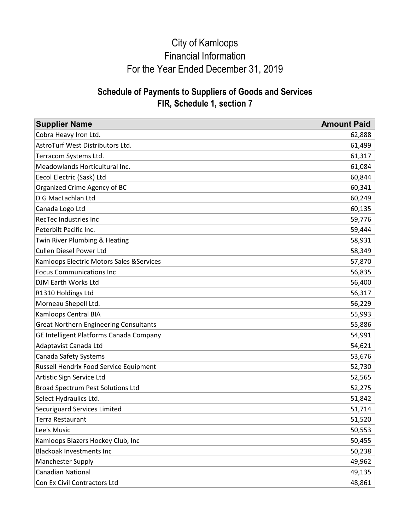| <b>Supplier Name</b>                          | <b>Amount Paid</b> |
|-----------------------------------------------|--------------------|
| Cobra Heavy Iron Ltd.                         | 62,888             |
| AstroTurf West Distributors Ltd.              | 61,499             |
| Terracom Systems Ltd.                         | 61,317             |
| Meadowlands Horticultural Inc.                | 61,084             |
| Eecol Electric (Sask) Ltd                     | 60,844             |
| Organized Crime Agency of BC                  | 60,341             |
| D G MacLachlan Ltd                            | 60,249             |
| Canada Logo Ltd                               | 60,135             |
| <b>RecTec Industries Inc</b>                  | 59,776             |
| Peterbilt Pacific Inc.                        | 59,444             |
| Twin River Plumbing & Heating                 | 58,931             |
| <b>Cullen Diesel Power Ltd</b>                | 58,349             |
| Kamloops Electric Motors Sales & Services     | 57,870             |
| <b>Focus Communications Inc</b>               | 56,835             |
| <b>DJM Earth Works Ltd</b>                    | 56,400             |
| R1310 Holdings Ltd                            | 56,317             |
| Morneau Shepell Ltd.                          | 56,229             |
| Kamloops Central BIA                          | 55,993             |
| <b>Great Northern Engineering Consultants</b> | 55,886             |
| GE Intelligent Platforms Canada Company       | 54,991             |
| Adaptavist Canada Ltd                         | 54,621             |
| Canada Safety Systems                         | 53,676             |
| Russell Hendrix Food Service Equipment        | 52,730             |
| Artistic Sign Service Ltd                     | 52,565             |
| <b>Broad Spectrum Pest Solutions Ltd</b>      | 52,275             |
| Select Hydraulics Ltd.                        | 51,842             |
| Securiguard Services Limited                  | 51,714             |
| Terra Restaurant                              | 51,520             |
| Lee's Music                                   | 50,553             |
| Kamloops Blazers Hockey Club, Inc             | 50,455             |
| <b>Blackoak Investments Inc</b>               | 50,238             |
| Manchester Supply                             | 49,962             |
| Canadian National                             | 49,135             |
| Con Ex Civil Contractors Ltd                  | 48,861             |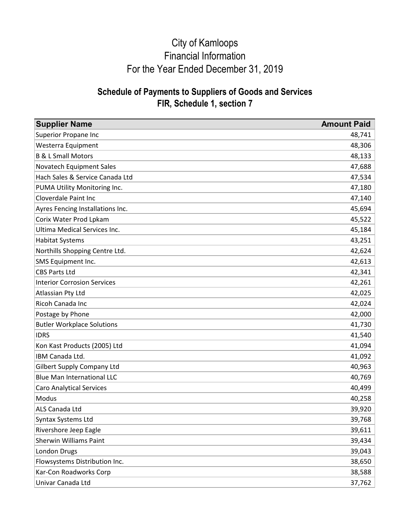| <b>Supplier Name</b>                | <b>Amount Paid</b> |
|-------------------------------------|--------------------|
| <b>Superior Propane Inc</b>         | 48,741             |
| Westerra Equipment                  | 48,306             |
| <b>B &amp; L Small Motors</b>       | 48,133             |
| Novatech Equipment Sales            | 47,688             |
| Hach Sales & Service Canada Ltd     | 47,534             |
| PUMA Utility Monitoring Inc.        | 47,180             |
| <b>Cloverdale Paint Inc</b>         | 47,140             |
| Ayres Fencing Installations Inc.    | 45,694             |
| Corix Water Prod Lpkam              | 45,522             |
| <b>Ultima Medical Services Inc.</b> | 45,184             |
| <b>Habitat Systems</b>              | 43,251             |
| Northills Shopping Centre Ltd.      | 42,624             |
| SMS Equipment Inc.                  | 42,613             |
| <b>CBS Parts Ltd</b>                | 42,341             |
| <b>Interior Corrosion Services</b>  | 42,261             |
| Atlassian Pty Ltd                   | 42,025             |
| Ricoh Canada Inc                    | 42,024             |
| Postage by Phone                    | 42,000             |
| <b>Butler Workplace Solutions</b>   | 41,730             |
| <b>IDRS</b>                         | 41,540             |
| Kon Kast Products (2005) Ltd        | 41,094             |
| IBM Canada Ltd.                     | 41,092             |
| <b>Gilbert Supply Company Ltd</b>   | 40,963             |
| <b>Blue Man International LLC</b>   | 40,769             |
| <b>Caro Analytical Services</b>     | 40,499             |
| Modus                               | 40,258             |
| ALS Canada Ltd                      | 39,920             |
| <b>Syntax Systems Ltd</b>           | 39,768             |
| Rivershore Jeep Eagle               | 39,611             |
| Sherwin Williams Paint              | 39,434             |
| London Drugs                        | 39,043             |
| Flowsystems Distribution Inc.       | 38,650             |
| Kar-Con Roadworks Corp              | 38,588             |
| Univar Canada Ltd                   | 37,762             |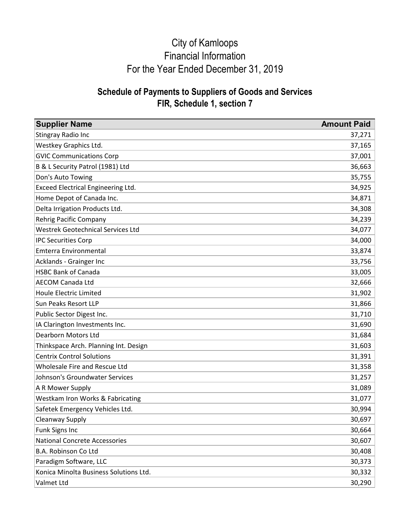| <b>Supplier Name</b>                      | <b>Amount Paid</b> |
|-------------------------------------------|--------------------|
| Stingray Radio Inc                        | 37,271             |
| <b>Westkey Graphics Ltd.</b>              | 37,165             |
| <b>GVIC Communications Corp</b>           | 37,001             |
| B & L Security Patrol (1981) Ltd          | 36,663             |
| Don's Auto Towing                         | 35,755             |
| <b>Exceed Electrical Engineering Ltd.</b> | 34,925             |
| Home Depot of Canada Inc.                 | 34,871             |
| Delta Irrigation Products Ltd.            | 34,308             |
| Rehrig Pacific Company                    | 34,239             |
| <b>Westrek Geotechnical Services Ltd</b>  | 34,077             |
| <b>IPC Securities Corp</b>                | 34,000             |
| <b>Emterra Environmental</b>              | 33,874             |
| Acklands - Grainger Inc                   | 33,756             |
| <b>HSBC Bank of Canada</b>                | 33,005             |
| <b>AECOM Canada Ltd</b>                   | 32,666             |
| <b>Houle Electric Limited</b>             | 31,902             |
| <b>Sun Peaks Resort LLP</b>               | 31,866             |
| Public Sector Digest Inc.                 | 31,710             |
| IA Clarington Investments Inc.            | 31,690             |
| <b>Dearborn Motors Ltd</b>                | 31,684             |
| Thinkspace Arch. Planning Int. Design     | 31,603             |
| <b>Centrix Control Solutions</b>          | 31,391             |
| Wholesale Fire and Rescue Ltd             | 31,358             |
| Johnson's Groundwater Services            | 31,257             |
| A R Mower Supply                          | 31,089             |
| Westkam Iron Works & Fabricating          | 31,077             |
| Safetek Emergency Vehicles Ltd.           | 30,994             |
| Cleanway Supply                           | 30,697             |
| <b>Funk Signs Inc</b>                     | 30,664             |
| <b>National Concrete Accessories</b>      | 30,607             |
| B.A. Robinson Co Ltd                      | 30,408             |
| Paradigm Software, LLC                    | 30,373             |
| Konica Minolta Business Solutions Ltd.    | 30,332             |
| Valmet Ltd                                | 30,290             |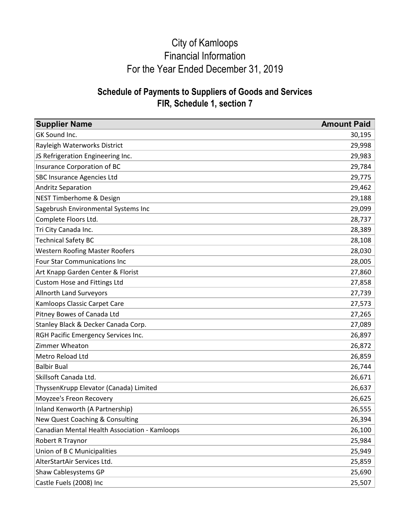| <b>Supplier Name</b>                          | <b>Amount Paid</b> |
|-----------------------------------------------|--------------------|
| GK Sound Inc.                                 | 30,195             |
| Rayleigh Waterworks District                  | 29,998             |
| JS Refrigeration Engineering Inc.             | 29,983             |
| <b>Insurance Corporation of BC</b>            | 29,784             |
| <b>SBC Insurance Agencies Ltd</b>             | 29,775             |
| <b>Andritz Separation</b>                     | 29,462             |
| <b>NEST Timberhome &amp; Design</b>           | 29,188             |
| Sagebrush Environmental Systems Inc           | 29,099             |
| Complete Floors Ltd.                          | 28,737             |
| Tri City Canada Inc.                          | 28,389             |
| <b>Technical Safety BC</b>                    | 28,108             |
| <b>Western Roofing Master Roofers</b>         | 28,030             |
| <b>Four Star Communications Inc</b>           | 28,005             |
| Art Knapp Garden Center & Florist             | 27,860             |
| Custom Hose and Fittings Ltd                  | 27,858             |
| <b>Allnorth Land Surveyors</b>                | 27,739             |
| Kamloops Classic Carpet Care                  | 27,573             |
| Pitney Bowes of Canada Ltd                    | 27,265             |
| Stanley Black & Decker Canada Corp.           | 27,089             |
| RGH Pacific Emergency Services Inc.           | 26,897             |
| Zimmer Wheaton                                | 26,872             |
| Metro Reload Ltd                              | 26,859             |
| <b>Balbir Bual</b>                            | 26,744             |
| Skillsoft Canada Ltd.                         | 26,671             |
| ThyssenKrupp Elevator (Canada) Limited        | 26,637             |
| Moyzee's Freon Recovery                       | 26,625             |
| Inland Kenworth (A Partnership)               | 26,555             |
| New Quest Coaching & Consulting               | 26,394             |
| Canadian Mental Health Association - Kamloops | 26,100             |
| Robert R Traynor                              | 25,984             |
| Union of B C Municipalities                   | 25,949             |
| AlterStartAir Services Ltd.                   | 25,859             |
| Shaw Cablesystems GP                          | 25,690             |
| Castle Fuels (2008) Inc                       | 25,507             |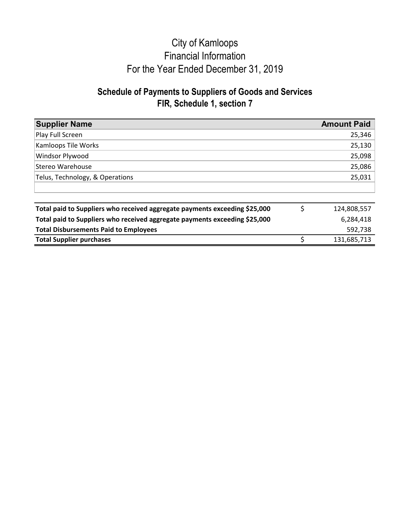| <b>Supplier Name</b>                                                       |    | <b>Amount Paid</b> |
|----------------------------------------------------------------------------|----|--------------------|
| Play Full Screen                                                           |    | 25,346             |
| Kamloops Tile Works                                                        |    | 25,130             |
| Windsor Plywood                                                            |    | 25,098             |
| Stereo Warehouse                                                           |    | 25,086             |
| Telus, Technology, & Operations                                            |    | 25,031             |
|                                                                            |    |                    |
| Total paid to Suppliers who received aggregate payments exceeding \$25,000 | \$ | 124,808,557        |
| Total paid to Suppliers who received aggregate payments exceeding \$25,000 |    | 6,284,418          |
| <b>Total Disbursements Paid to Employees</b>                               |    | 592,738            |
| <b>Total Supplier purchases</b>                                            | Ś  | 131,685,713        |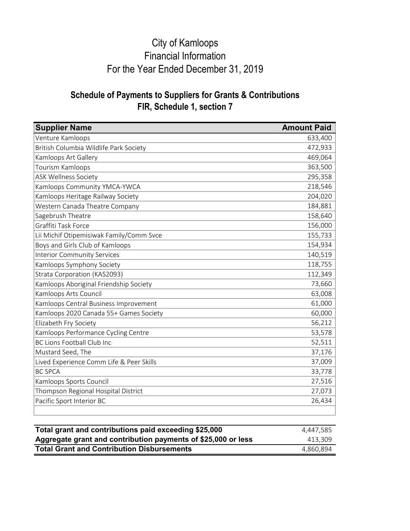### **Schedule of Payments to Suppliers for Grants & Contributions FIR, Schedule 1, section 7**

| <b>Supplier Name</b>                     | <b>Amount Paid</b> |
|------------------------------------------|--------------------|
| Venture Kamloops                         | 633,400            |
| British Columbia Wildlife Park Society   | 472,933            |
| Kamloops Art Gallery                     | 469,064            |
| Tourism Kamloops                         | 363,500            |
| <b>ASK Wellness Society</b>              | 295,358            |
| Kamloops Community YMCA-YWCA             | 218,546            |
| Kamloops Heritage Railway Society        | 204,020            |
| Western Canada Theatre Company           | 184,881            |
| Sagebrush Theatre                        | 158,640            |
| Graffiti Task Force                      | 156,000            |
| Lii Michif Otipemisiwak Family/Comm Svce | 155,733            |
| Boys and Girls Club of Kamloops          | 154,934            |
| <b>Interior Community Services</b>       | 140,519            |
| Kamloops Symphony Society                | 118,755            |
| Strata Corporation (KAS2093)             | 112,349            |
| Kamloops Aboriginal Friendship Society   | 73,660             |
| Kamloops Arts Council                    | 63,008             |
| Kamloops Central Business Improvement    | 61,000             |
| Kamloops 2020 Canada 55+ Games Society   | 60,000             |
| Elizabeth Fry Society                    | 56,212             |
| Kamloops Performance Cycling Centre      | 53,578             |
| <b>BC Lions Football Club Inc</b>        | 52,511             |
| Mustard Seed, The                        | 37,176             |
| Lived Experience Comm Life & Peer Skills | 37,009             |
| <b>BC SPCA</b>                           | 33,778             |
| Kamloops Sports Council                  | 27,516             |
| Thompson Regional Hospital District      | 27,073             |
| Pacific Sport Interior BC                | 26,434             |

| Total grant and contributions paid exceeding \$25,000         | 4.447.585 |
|---------------------------------------------------------------|-----------|
| Aggregate grant and contribution payments of \$25,000 or less | 413.309   |
| <b>Total Grant and Contribution Disbursements</b>             | 4.860.894 |